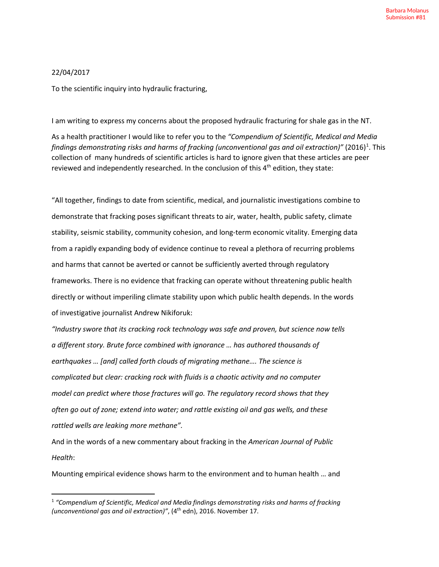## 22/04/2017

To the scientific inquiry into hydraulic fracturing,

I am writing to express my concerns about the proposed hydraulic fracturing for shale gas in the NT.

As a health practitioner I would like to refer you to the *"Compendium of Scientific, Medical and Media*  findings demonstrating risks and harms of fracking (unconventional gas and oil extraction)" (20[1](#page-0-0)6)<sup>1</sup>. This collection of many hundreds of scientific articles is hard to ignore given that these articles are peer reviewed and independently researched. In the conclusion of this 4<sup>th</sup> edition, they state:

"All together, findings to date from scientific, medical, and journalistic investigations combine to demonstrate that fracking poses significant threats to air, water, health, public safety, climate stability, seismic stability, community cohesion, and long-term economic vitality. Emerging data from a rapidly expanding body of evidence continue to reveal a plethora of recurring problems and harms that cannot be averted or cannot be sufficiently averted through regulatory frameworks. There is no evidence that fracking can operate without threatening public health directly or without imperiling climate stability upon which public health depends. In the words of investigative journalist Andrew Nikiforuk:

*"Industry swore that its cracking rock technology was safe and proven, but science now tells a different story. Brute force combined with ignorance … has authored thousands of earthquakes … [and] called forth clouds of migrating methane…. The science is complicated but clear: cracking rock with fluids is a chaotic activity and no computer model can predict where those fractures will go. The regulatory record shows that they often go out of zone; extend into water; and rattle existing oil and gas wells, and these rattled wells are leaking more methane".* 

And in the words of a new commentary about fracking in the *American Journal of Public Health*:

Mounting empirical evidence shows harm to the environment and to human health … and

<span id="page-0-0"></span><sup>1</sup> *"Compendium of Scientific, Medical and Media findings demonstrating risks and harms of fracking (unconventional gas and oil extraction)"*, (4<sup>th</sup> edn), 2016. November 17.